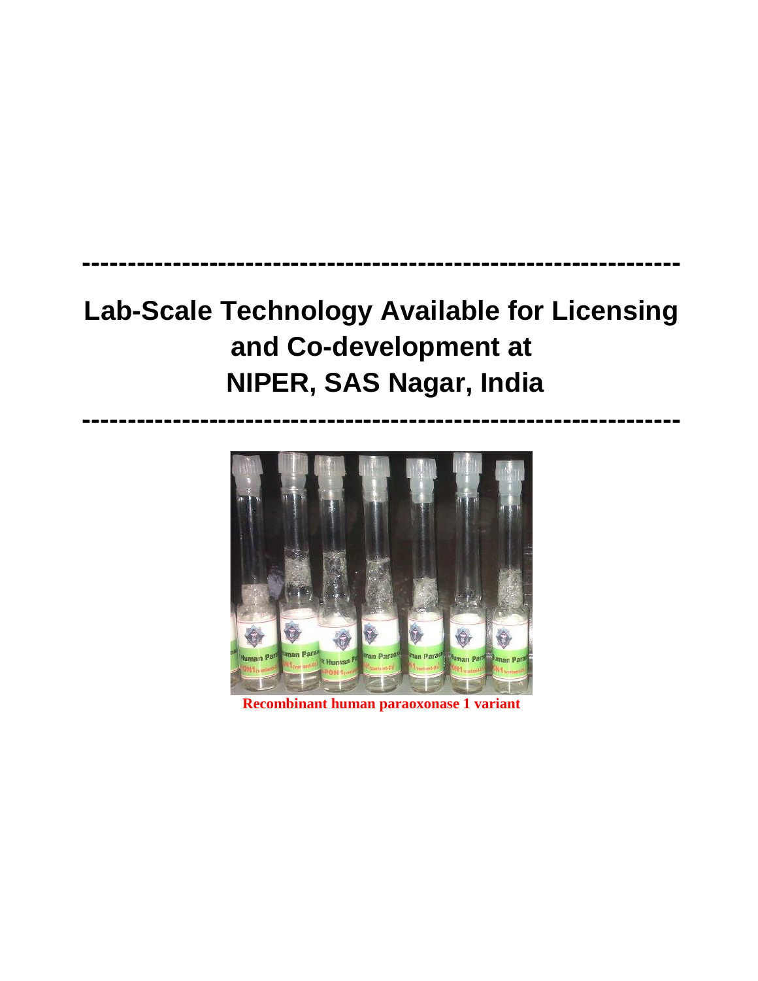## **Lab-Scale Technology Available for Licensing and Co-development at NIPER, SAS Nagar, India**

**------------------------------------------------------------------**

**------------------------------------------------------------------**



**Recombinant human paraoxonase 1 variant**